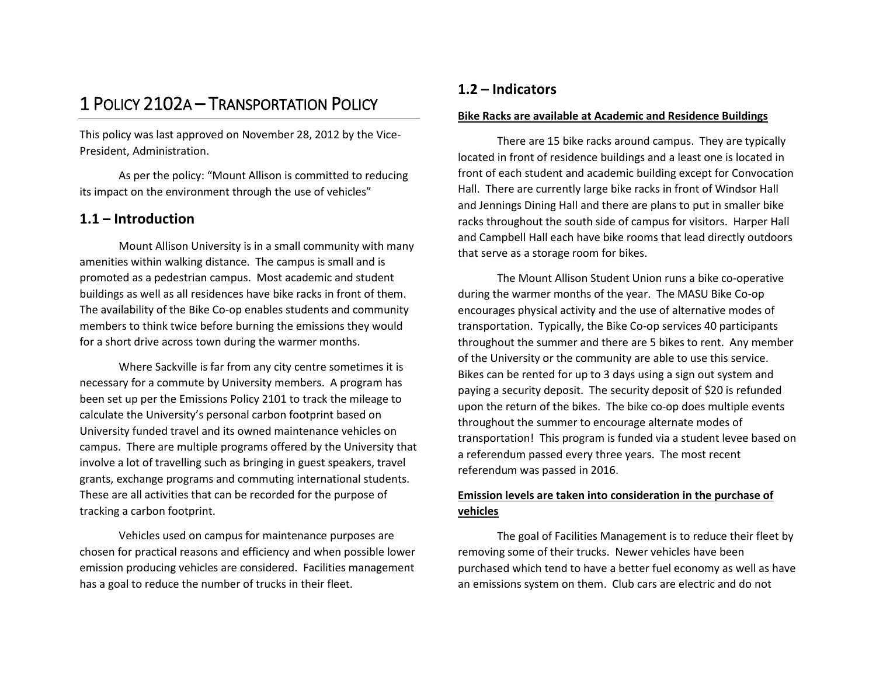# 1 POLICY 2102A – TRANSPORTATION POLICY

This policy was last approved on November 28, 2012 by the Vice-President, Administration.

As per the policy: "Mount Allison is committed to reducing its impact on the environment through the use of vehicles"

# **1.1 – Introduction**

Mount Allison University is in a small community with many amenities within walking distance. The campus is small and is promoted as a pedestrian campus. Most academic and student buildings as well as all residences have bike racks in front of them. The availability of the Bike Co-op enables students and community members to think twice before burning the emissions they would for a short drive across town during the warmer months.

Where Sackville is far from any city centre sometimes it is necessary for a commute by University members. A program has been set up per the Emissions Policy 2101 to track the mileage to calculate the University's personal carbon footprint based on University funded travel and its owned maintenance vehicles on campus. There are multiple programs offered by the University that involve a lot of travelling such as bringing in guest speakers, travel grants, exchange programs and commuting international students. These are all activities that can be recorded for the purpose of tracking a carbon footprint.

Vehicles used on campus for maintenance purposes are chosen for practical reasons and efficiency and when possible lower emission producing vehicles are considered. Facilities management has a goal to reduce the number of trucks in their fleet.

# **1.2 – Indicators**

### **Bike Racks are available at Academic and Residence Buildings**

There are 15 bike racks around campus. They are typically located in front of residence buildings and a least one is located in front of each student and academic building except for Convocation Hall. There are currently large bike racks in front of Windsor Hall and Jennings Dining Hall and there are plans to put in smaller bike racks throughout the south side of campus for visitors. Harper Hall and Campbell Hall each have bike rooms that lead directly outdoors that serve as a storage room for bikes.

The Mount Allison Student Union runs a bike co-operative during the warmer months of the year. The MASU Bike Co-op encourages physical activity and the use of alternative modes of transportation. Typically, the Bike Co-op services 40 participants throughout the summer and there are 5 bikes to rent. Any member of the University or the community are able to use this service. Bikes can be rented for up to 3 days using a sign out system and paying a security deposit. The security deposit of \$20 is refunded upon the return of the bikes. The bike co-op does multiple events throughout the summer to encourage alternate modes of transportation! This program is funded via a student levee based on a referendum passed every three years. The most recent referendum was passed in 2016.

# **Emission levels are taken into consideration in the purchase of vehicles**

The goal of Facilities Management is to reduce their fleet by removing some of their trucks. Newer vehicles have been purchased which tend to have a better fuel economy as well as have an emissions system on them. Club cars are electric and do not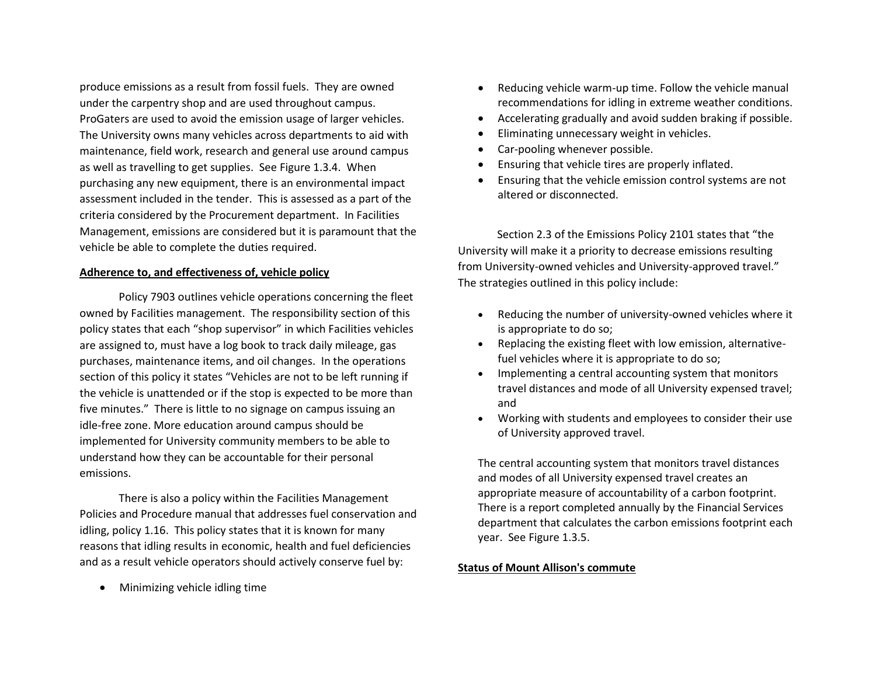produce emissions as a result from fossil fuels. They are owned under the carpentry shop and are used throughout campus. ProGaters are used to avoid the emission usage of larger vehicles. The University owns many vehicles across departments to aid with maintenance, field work, research and general use around campus as well as travelling to get supplies. See Figure 1.3.4. When purchasing any new equipment, there is an environmental impact assessment included in the tender. This is assessed as a part of the criteria considered by the Procurement department. In Facilities Management, emissions are considered but it is paramount that the vehicle be able to complete the duties required.

### **Adherence to, and effectiveness of, vehicle policy**

Policy 7903 outlines vehicle operations concerning the fleet owned by Facilities management. The responsibility section of this policy states that each "shop supervisor" in which Facilities vehicles are assigned to, must have a log book to track daily mileage, gas purchases, maintenance items, and oil changes. In the operations section of this policy it states "Vehicles are not to be left running if the vehicle is unattended or if the stop is expected to be more than five minutes." There is little to no signage on campus issuing an idle-free zone. More education around campus should be implemented for University community members to be able to understand how they can be accountable for their personal emissions.

There is also a policy within the Facilities Management Policies and Procedure manual that addresses fuel conservation and idling, policy 1.16. This policy states that it is known for many reasons that idling results in economic, health and fuel deficiencies and as a result vehicle operators should actively conserve fuel by:

Minimizing vehicle idling time

- Reducing vehicle warm-up time. Follow the vehicle manual recommendations for idling in extreme weather conditions.
- Accelerating gradually and avoid sudden braking if possible.
- Eliminating unnecessary weight in vehicles.
- Car-pooling whenever possible.
- Ensuring that vehicle tires are properly inflated.
- Ensuring that the vehicle emission control systems are not altered or disconnected.

Section 2.3 of the Emissions Policy 2101 states that "the University will make it a priority to decrease emissions resulting from University-owned vehicles and University-approved travel." The strategies outlined in this policy include:

- Reducing the number of university-owned vehicles where it is appropriate to do so;
- Replacing the existing fleet with low emission, alternativefuel vehicles where it is appropriate to do so;
- Implementing a central accounting system that monitors travel distances and mode of all University expensed travel; and
- Working with students and employees to consider their use of University approved travel.

The central accounting system that monitors travel distances and modes of all University expensed travel creates an appropriate measure of accountability of a carbon footprint. There is a report completed annually by the Financial Services department that calculates the carbon emissions footprint each year. See Figure 1.3.5.

### **Status of Mount Allison's commute**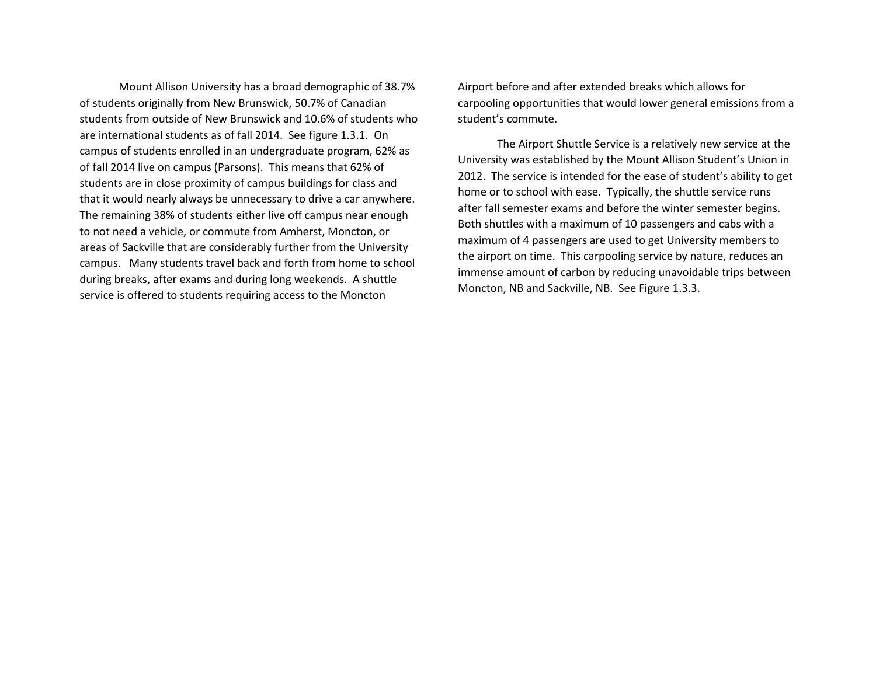Mount Allison University has a broad demographic of 38.7% of students originally from New Brunswick, 50.7% of Canadian students from outside of New Brunswick and 10.6% of students who are international students as of fall 2014. See figure 1.3.1. On campus of students enrolled in an undergraduate program, 62% as of fall 2014 live on campus (Parsons). This means that 62% of students are in close proximity of campus buildings for class and that it would nearly always be unnecessary to drive a car anywhere. The remaining 38% of students either live off campus near enough to not need a vehicle, or commute from Amherst, Moncton, or areas of Sackville that are considerably further from the University campus. Many students travel back and forth from home to school during breaks, after exams and during long weekends. A shuttle service is offered to students requiring access to the Moncton

Airport before and after extended breaks which allows for carpooling opportunities that would lower general emissions from a student's commute.

The Airport Shuttle Service is a relatively new service at the University was established by the Mount Allison Student's Union in 2012. The service is intended for the ease of student's ability to get home or to school with ease. Typically, the shuttle service runs after fall semester exams and before the winter semester begins. Both shuttles with a maximum of 10 passengers and cabs with a maximum of 4 passengers are used to get University members to the airport on time. This carpooling service by nature, reduces an immense amount of carbon by reducing unavoidable trips between Moncton, NB and Sackville, NB. See Figure 1.3.3.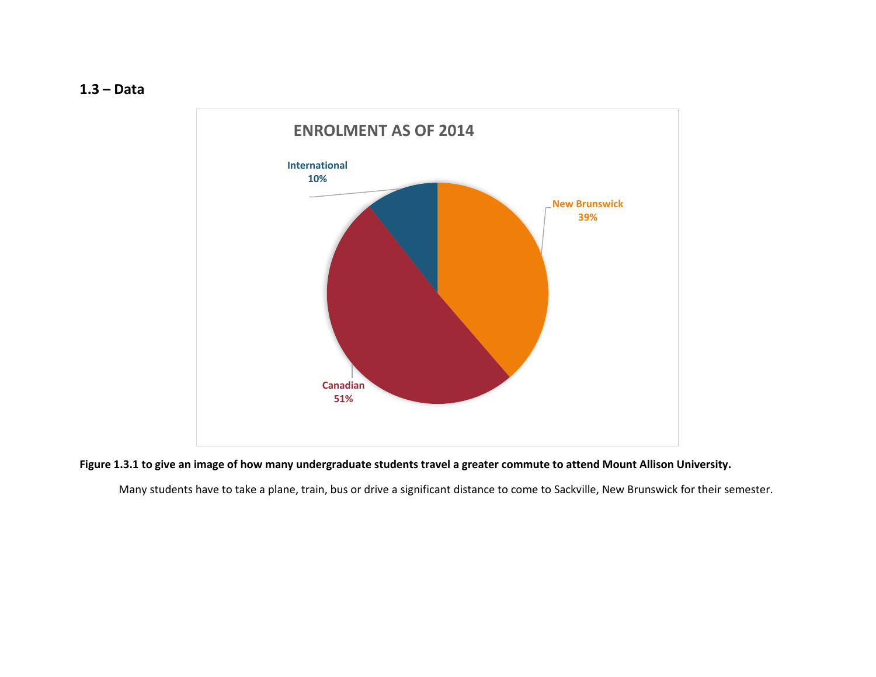**1.3 – Data**



# **Figure 1.3.1 to give an image of how many undergraduate students travel a greater commute to attend Mount Allison University.**

Many students have to take a plane, train, bus or drive a significant distance to come to Sackville, New Brunswick for their semester.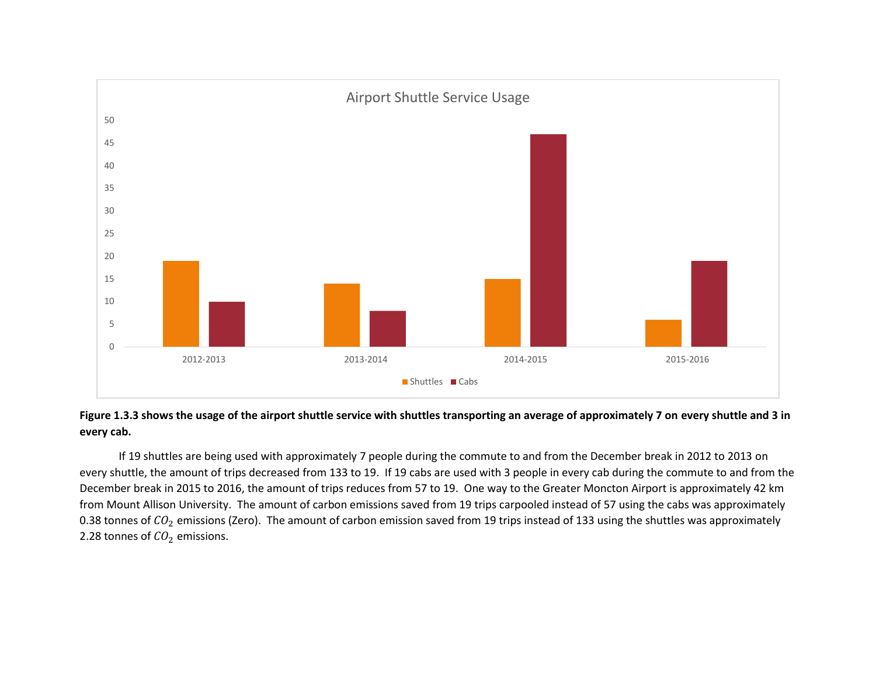



If 19 shuttles are being used with approximately 7 people during the commute to and from the December break in 2012 to 2013 on every shuttle, the amount of trips decreased from 133 to 19. If 19 cabs are used with 3 people in every cab during the commute to and from the December break in 2015 to 2016, the amount of trips reduces from 57 to 19. One way to the Greater Moncton Airport is approximately 42 km from Mount Allison University. The amount of carbon emissions saved from 19 trips carpooled instead of 57 using the cabs was approximately 0.38 tonnes of  $CO_2$  emissions (Zero). The amount of carbon emission saved from 19 trips instead of 133 using the shuttles was approximately 2.28 tonnes of  $CO<sub>2</sub>$  emissions.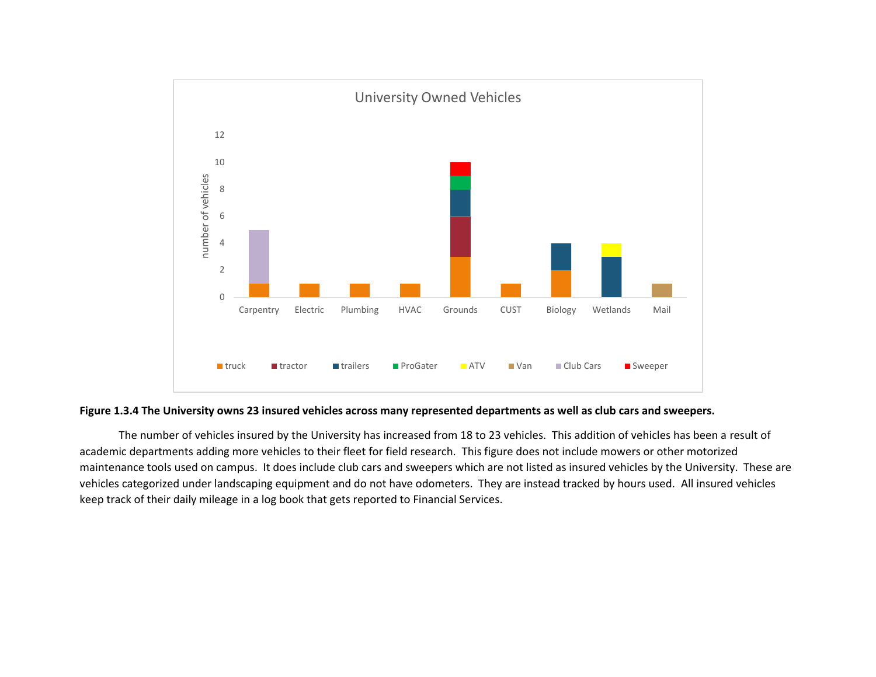

### **Figure 1.3.4 The University owns 23 insured vehicles across many represented departments as well as club cars and sweepers.**

The number of vehicles insured by the University has increased from 18 to 23 vehicles. This addition of vehicles has been a result of academic departments adding more vehicles to their fleet for field research. This figure does not include mowers or other motorized maintenance tools used on campus. It does include club cars and sweepers which are not listed as insured vehicles by the University. These are vehicles categorized under landscaping equipment and do not have odometers. They are instead tracked by hours used. All insured vehicles keep track of their daily mileage in a log book that gets reported to Financial Services.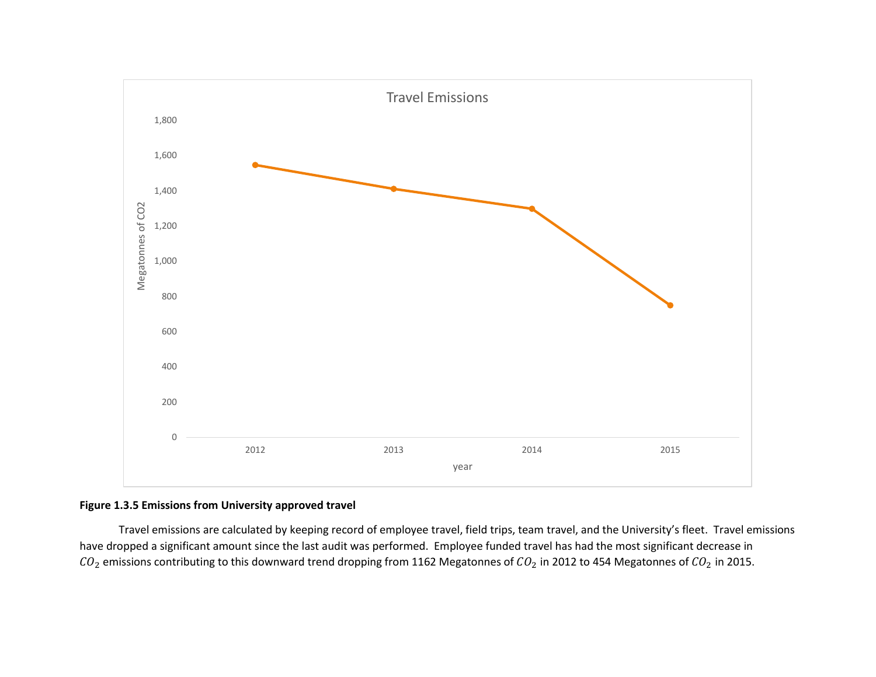

## **Figure 1.3.5 Emissions from University approved travel**

Travel emissions are calculated by keeping record of employee travel, field trips, team travel, and the University's fleet. Travel emissions have dropped a significant amount since the last audit was performed. Employee funded travel has had the most significant decrease in  $CO_2$  emissions contributing to this downward trend dropping from 1162 Megatonnes of  $CO_2$  in 2012 to 454 Megatonnes of  $CO_2$  in 2015.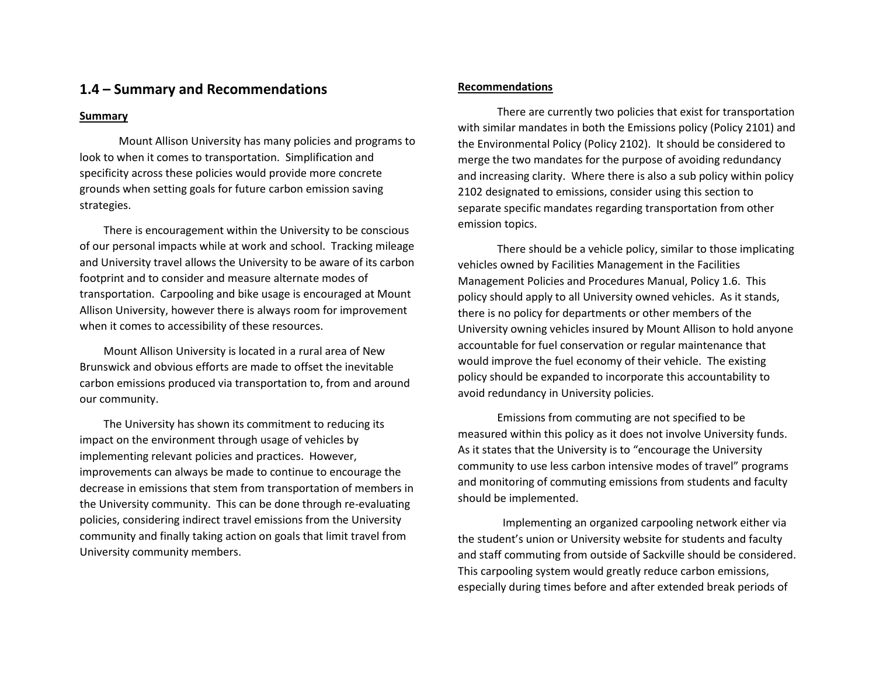# **1.4 – Summary and Recommendations**

### **Summary**

Mount Allison University has many policies and programs to look to when it comes to transportation. Simplification and specificity across these policies would provide more concrete grounds when setting goals for future carbon emission saving strategies.

There is encouragement within the University to be conscious of our personal impacts while at work and school. Tracking mileage and University travel allows the University to be aware of its carbon footprint and to consider and measure alternate modes of transportation. Carpooling and bike usage is encouraged at Mount Allison University, however there is always room for improvement when it comes to accessibility of these resources.

Mount Allison University is located in a rural area of New Brunswick and obvious efforts are made to offset the inevitable carbon emissions produced via transportation to, from and around our community.

The University has shown its commitment to reducing its impact on the environment through usage of vehicles by implementing relevant policies and practices. However, improvements can always be made to continue to encourage the decrease in emissions that stem from transportation of members in the University community. This can be done through re-evaluating policies, considering indirect travel emissions from the University community and finally taking action on goals that limit travel from University community members.

### **Recommendations**

There are currently two policies that exist for transportation with similar mandates in both the Emissions policy (Policy 2101) and the Environmental Policy (Policy 2102). It should be considered to merge the two mandates for the purpose of avoiding redundancy and increasing clarity. Where there is also a sub policy within policy 2102 designated to emissions, consider using this section to separate specific mandates regarding transportation from other emission topics.

There should be a vehicle policy, similar to those implicating vehicles owned by Facilities Management in the Facilities Management Policies and Procedures Manual, Policy 1.6. This policy should apply to all University owned vehicles. As it stands, there is no policy for departments or other members of the University owning vehicles insured by Mount Allison to hold anyone accountable for fuel conservation or regular maintenance that would improve the fuel economy of their vehicle. The existing policy should be expanded to incorporate this accountability to avoid redundancy in University policies.

Emissions from commuting are not specified to be measured within this policy as it does not involve University funds. As it states that the University is to "encourage the University community to use less carbon intensive modes of travel" programs and monitoring of commuting emissions from students and faculty should be implemented.

 Implementing an organized carpooling network either via the student's union or University website for students and faculty and staff commuting from outside of Sackville should be considered. This carpooling system would greatly reduce carbon emissions, especially during times before and after extended break periods of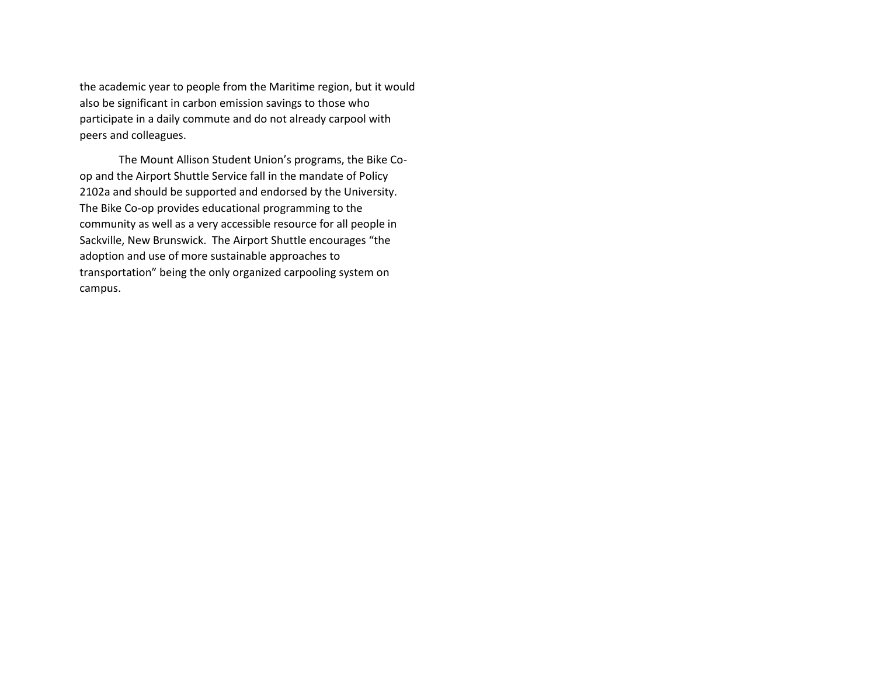the academic year to people from the Maritime region, but it would also be significant in carbon emission savings to those who participate in a daily commute and do not already carpool with peers and colleagues.

The Mount Allison Student Union's programs, the Bike Coop and the Airport Shuttle Service fall in the mandate of Policy 2102a and should be supported and endorsed by the University. The Bike Co-op provides educational programming to the community as well as a very accessible resource for all people in Sackville, New Brunswick. The Airport Shuttle encourages "the adoption and use of more sustainable approaches to transportation" being the only organized carpooling system on campus.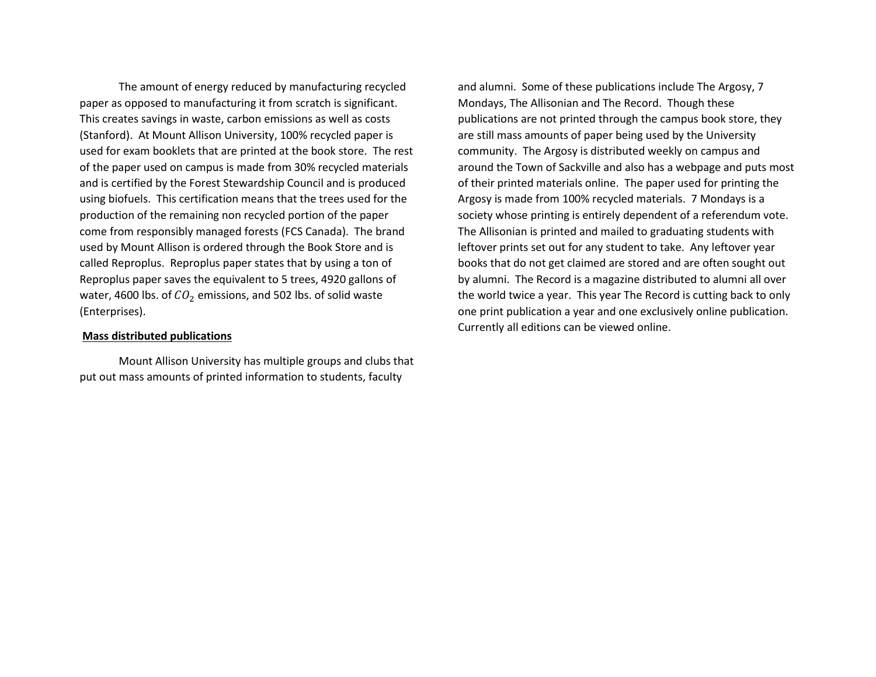The amount of energy reduced by manufacturing recycled paper as opposed to manufacturing it from scratch is significant. This creates savings in waste, carbon emissions as well as costs (Stanford). At Mount Allison University, 100% recycled paper is used for exam booklets that are printed at the book store. The rest of the paper used on campus is made from 30% recycled materials and is certified by the Forest Stewardship Council and is produced using biofuels. This certification means that the trees used for the production of the remaining non recycled portion of the paper come from responsibly managed forests (FCS Canada). The brand used by Mount Allison is ordered through the Book Store and is called Reproplus. Reproplus paper states that by using a ton of Reproplus paper saves the equivalent to 5 trees, 4920 gallons of water, 4600 lbs. of  $CO<sub>2</sub>$  emissions, and 502 lbs. of solid waste (Enterprises).

### **Mass distributed publications**

Mount Allison University has multiple groups and clubs that put out mass amounts of printed information to students, faculty

and alumni. Some of these publications include The Argosy, 7 Mondays, The Allisonian and The Record. Though these publications are not printed through the campus book store, they are still mass amounts of paper being used by the University community. The Argosy is distributed weekly on campus and around the Town of Sackville and also has a webpage and puts most of their printed materials online. The paper used for printing the Argosy is made from 100% recycled materials. 7 Mondays is a society whose printing is entirely dependent of a referendum vote. The Allisonian is printed and mailed to graduating students with leftover prints set out for any student to take. Any leftover year books that do not get claimed are stored and are often sought out by alumni. The Record is a magazine distributed to alumni all over the world twice a year. This year The Record is cutting back to only one print publication a year and one exclusively online publication. Currently all editions can be viewed online.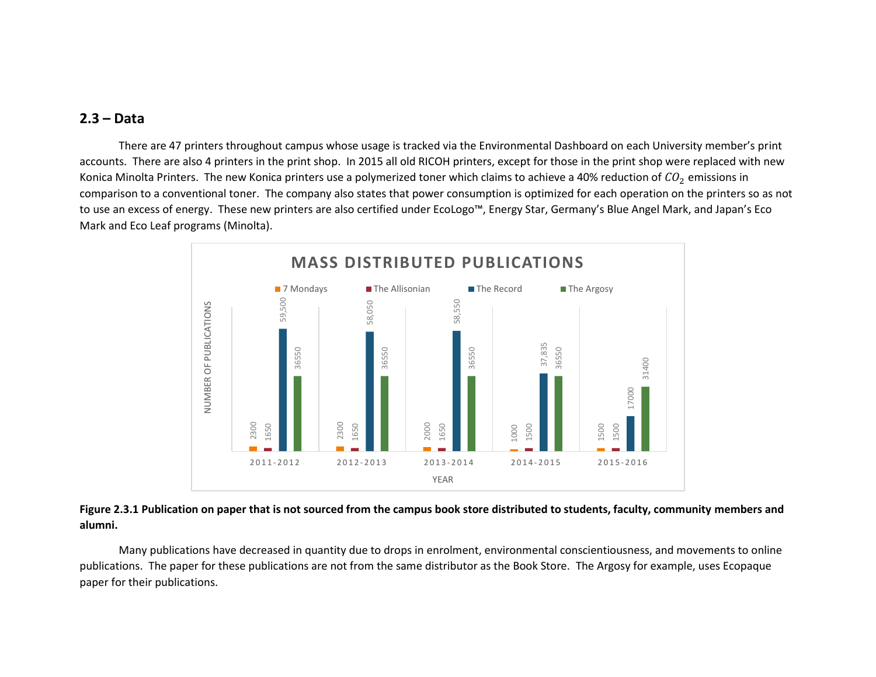# **2.3 – Data**

There are 47 printers throughout campus whose usage is tracked via the Environmental Dashboard on each University member's print accounts. There are also 4 printers in the print shop. In 2015 all old RICOH printers, except for those in the print shop were replaced with new Konica Minolta Printers. The new Konica printers use a polymerized toner which claims to achieve a 40% reduction of  $CO<sub>2</sub>$  emissions in comparison to a conventional toner. The company also states that power consumption is optimized for each operation on the printers so as not to use an excess of energy. These new printers are also certified under EcoLogo™, Energy Star, Germany's Blue Angel Mark, and Japan's Eco Mark and Eco Leaf programs (Minolta).



## **Figure 2.3.1 Publication on paper that is not sourced from the campus book store distributed to students, faculty, community members and alumni.**

Many publications have decreased in quantity due to drops in enrolment, environmental conscientiousness, and movements to online publications. The paper for these publications are not from the same distributor as the Book Store. The Argosy for example, uses Ecopaque paper for their publications.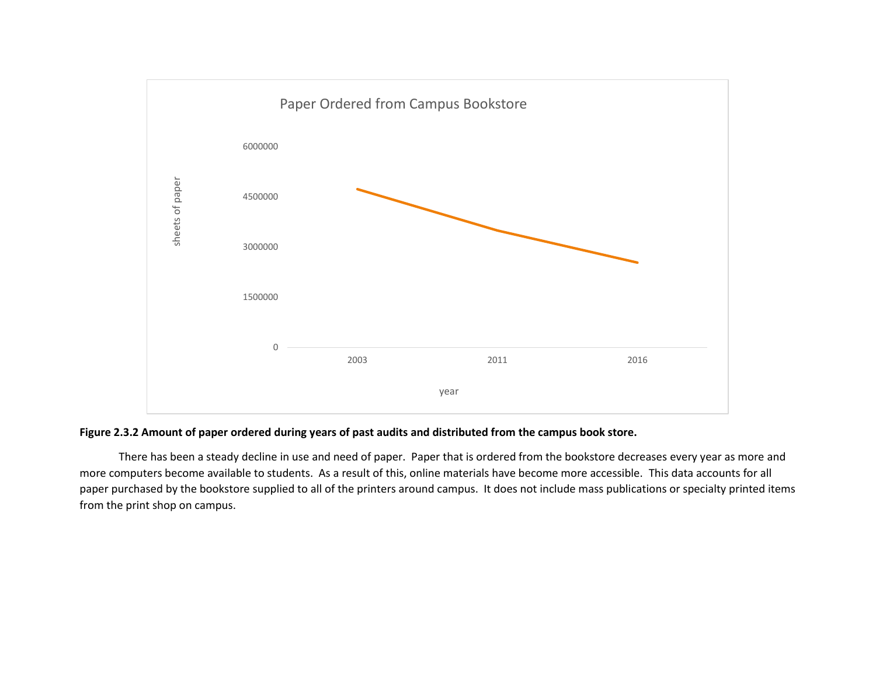

## **Figure 2.3.2 Amount of paper ordered during years of past audits and distributed from the campus book store.**

There has been a steady decline in use and need of paper. Paper that is ordered from the bookstore decreases every year as more and more computers become available to students. As a result of this, online materials have become more accessible. This data accounts for all paper purchased by the bookstore supplied to all of the printers around campus. It does not include mass publications or specialty printed items from the print shop on campus.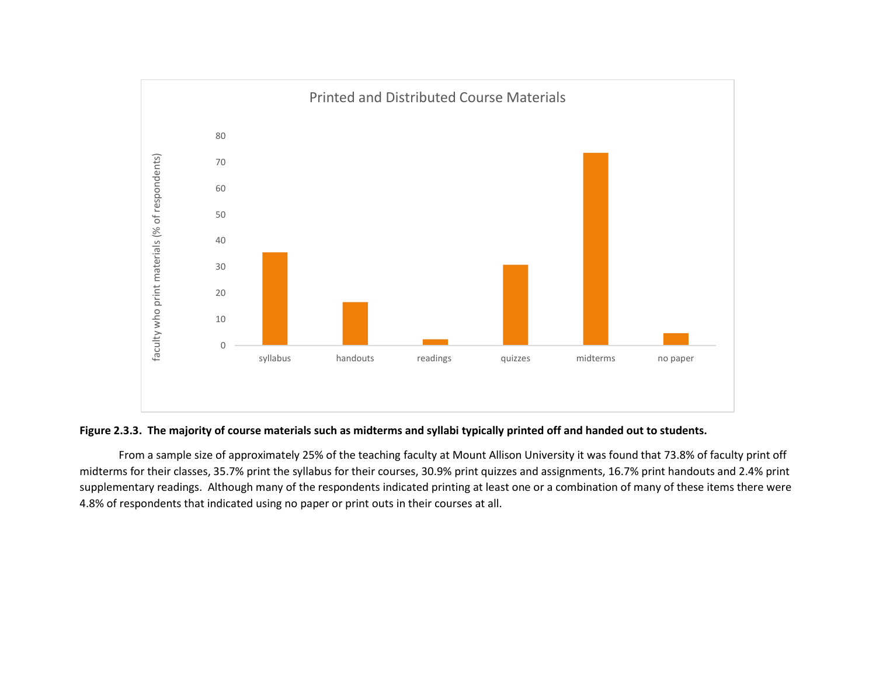

## **Figure 2.3.3. The majority of course materials such as midterms and syllabi typically printed off and handed out to students.**

From a sample size of approximately 25% of the teaching faculty at Mount Allison University it was found that 73.8% of faculty print off midterms for their classes, 35.7% print the syllabus for their courses, 30.9% print quizzes and assignments, 16.7% print handouts and 2.4% print supplementary readings. Although many of the respondents indicated printing at least one or a combination of many of these items there were 4.8% of respondents that indicated using no paper or print outs in their courses at all.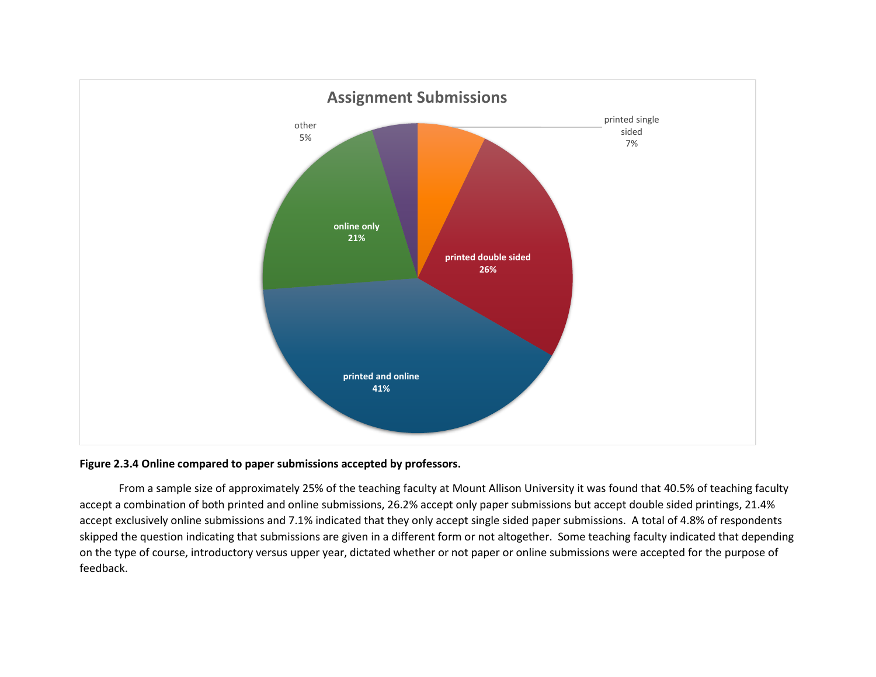

### **Figure 2.3.4 Online compared to paper submissions accepted by professors.**

From a sample size of approximately 25% of the teaching faculty at Mount Allison University it was found that 40.5% of teaching faculty accept a combination of both printed and online submissions, 26.2% accept only paper submissions but accept double sided printings, 21.4% accept exclusively online submissions and 7.1% indicated that they only accept single sided paper submissions. A total of 4.8% of respondents skipped the question indicating that submissions are given in a different form or not altogether. Some teaching faculty indicated that depending on the type of course, introductory versus upper year, dictated whether or not paper or online submissions were accepted for the purpose of feedback.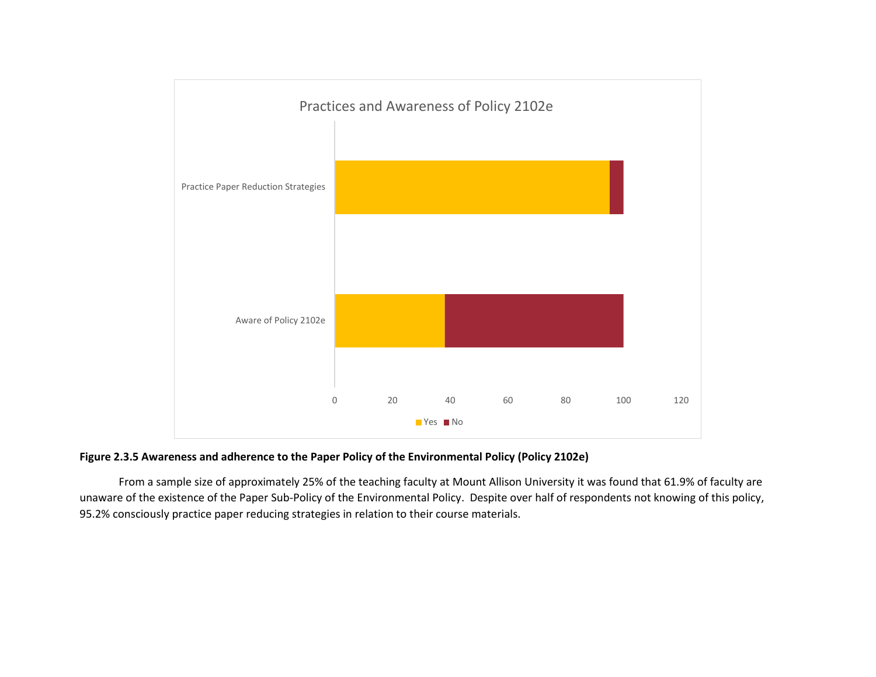



From a sample size of approximately 25% of the teaching faculty at Mount Allison University it was found that 61.9% of faculty are unaware of the existence of the Paper Sub-Policy of the Environmental Policy. Despite over half of respondents not knowing of this policy, 95.2% consciously practice paper reducing strategies in relation to their course materials.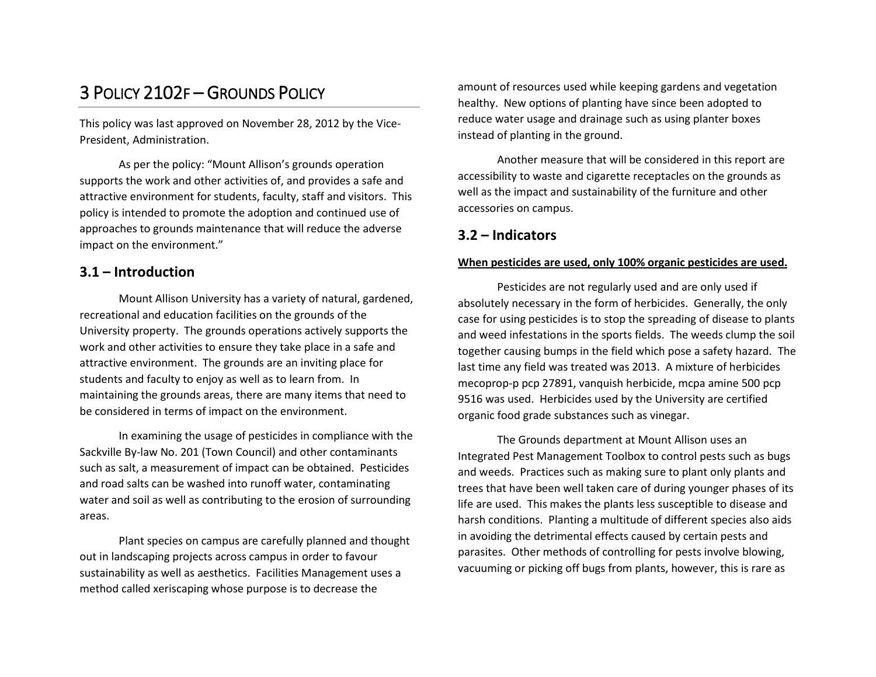# 3 POLICY 2102F – GROUNDS POLICY

This policy was last approved on November 28, 2012 by the Vice-President, Administration.

As per the policy: "Mount Allison's grounds operation supports the work and other activities of, and provides a safe and attractive environment for students, faculty, staff and visitors. This policy is intended to promote the adoption and continued use of approaches to grounds maintenance that will reduce the adverse impact on the environment."

# **3.1 – Introduction**

Mount Allison University has a variety of natural, gardened, recreational and education facilities on the grounds of the University property. The grounds operations actively supports the work and other activities to ensure they take place in a safe and attractive environment. The grounds are an inviting place for students and faculty to enjoy as well as to learn from. In maintaining the grounds areas, there are many items that need to be considered in terms of impact on the environment.

In examining the usage of pesticides in compliance with the Sackville By-law No. 201 (Town Council) and other contaminants such as salt, a measurement of impact can be obtained. Pesticides and road salts can be washed into runoff water, contaminating water and soil as well as contributing to the erosion of surrounding areas.

Plant species on campus are carefully planned and thought out in landscaping projects across campus in order to favour sustainability as well as aesthetics. Facilities Management uses a method called xeriscaping whose purpose is to decrease the

amount of resources used while keeping gardens and vegetation healthy. New options of planting have since been adopted to reduce water usage and drainage such as using planter boxes instead of planting in the ground.

Another measure that will be considered in this report are accessibility to waste and cigarette receptacles on the grounds as well as the impact and sustainability of the furniture and other accessories on campus.

# **3.2 – Indicators**

### **When pesticides are used, only 100% organic pesticides are used.**

Pesticides are not regularly used and are only used if absolutely necessary in the form of herbicides. Generally, the only case for using pesticides is to stop the spreading of disease to plants and weed infestations in the sports fields. The weeds clump the soil together causing bumps in the field which pose a safety hazard. The last time any field was treated was 2013. A mixture of herbicides mecoprop-p pcp 27891, vanquish herbicide, mcpa amine 500 pcp 9516 was used. Herbicides used by the University are certified organic food grade substances such as vinegar.

The Grounds department at Mount Allison uses an Integrated Pest Management Toolbox to control pests such as bugs and weeds. Practices such as making sure to plant only plants and trees that have been well taken care of during younger phases of its life are used. This makes the plants less susceptible to disease and harsh conditions. Planting a multitude of different species also aids in avoiding the detrimental effects caused by certain pests and parasites. Other methods of controlling for pests involve blowing, vacuuming or picking off bugs from plants, however, this is rare as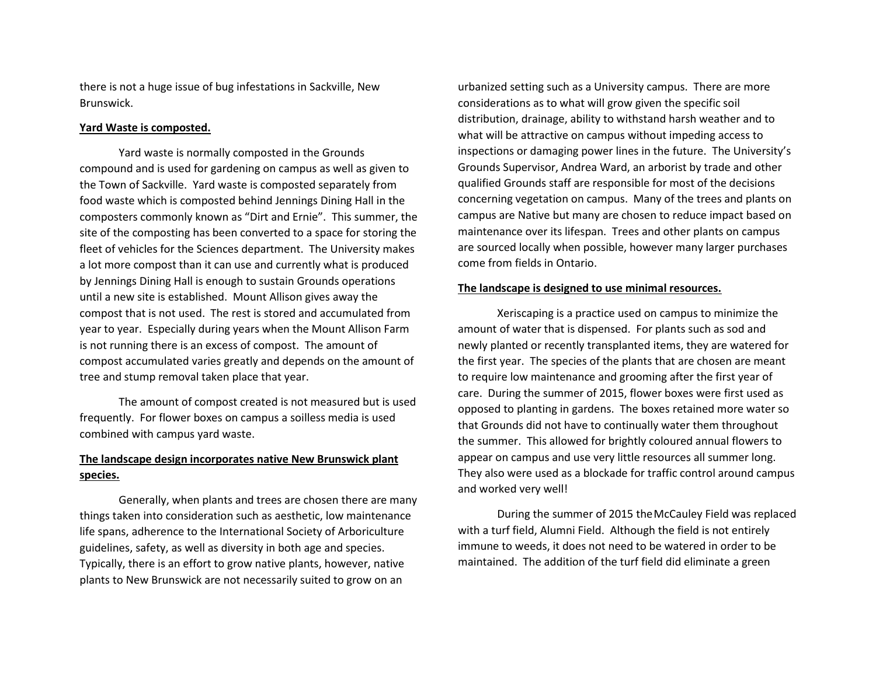there is not a huge issue of bug infestations in Sackville, New Brunswick.

### **Yard Waste is composted.**

Yard waste is normally composted in the Grounds compound and is used for gardening on campus as well as given to the Town of Sackville. Yard waste is composted separately from food waste which is composted behind Jennings Dining Hall in the composters commonly known as "Dirt and Ernie". This summer, the site of the composting has been converted to a space for storing the fleet of vehicles for the Sciences department. The University makes a lot more compost than it can use and currently what is produced by Jennings Dining Hall is enough to sustain Grounds operations until a new site is established. Mount Allison gives away the compost that is not used. The rest is stored and accumulated from year to year. Especially during years when the Mount Allison Farm is not running there is an excess of compost. The amount of compost accumulated varies greatly and depends on the amount of tree and stump removal taken place that year.

The amount of compost created is not measured but is used frequently. For flower boxes on campus a soilless media is used combined with campus yard waste.

## **The landscape design incorporates native New Brunswick plant species.**

Generally, when plants and trees are chosen there are many things taken into consideration such as aesthetic, low maintenance life spans, adherence to the International Society of Arboriculture guidelines, safety, as well as diversity in both age and species. Typically, there is an effort to grow native plants, however, native plants to New Brunswick are not necessarily suited to grow on an

urbanized setting such as a University campus. There are more considerations as to what will grow given the specific soil distribution, drainage, ability to withstand harsh weather and to what will be attractive on campus without impeding access to inspections or damaging power lines in the future. The University's Grounds Supervisor, Andrea Ward, an arborist by trade and other qualified Grounds staff are responsible for most of the decisions concerning vegetation on campus. Many of the trees and plants on campus are Native but many are chosen to reduce impact based on maintenance over its lifespan. Trees and other plants on campus are sourced locally when possible, however many larger purchases come from fields in Ontario.

### **The landscape is designed to use minimal resources.**

Xeriscaping is a practice used on campus to minimize the amount of water that is dispensed. For plants such as sod and newly planted or recently transplanted items, they are watered for the first year. The species of the plants that are chosen are meant to require low maintenance and grooming after the first year of care. During the summer of 2015, flower boxes were first used as opposed to planting in gardens. The boxes retained more water so that Grounds did not have to continually water them throughout the summer. This allowed for brightly coloured annual flowers to appear on campus and use very little resources all summer long. They also were used as a blockade for traffic control around campus and worked very well!

During the summer of 2015 theMcCauley Field was replaced with a turf field, Alumni Field. Although the field is not entirely immune to weeds, it does not need to be watered in order to be maintained. The addition of the turf field did eliminate a green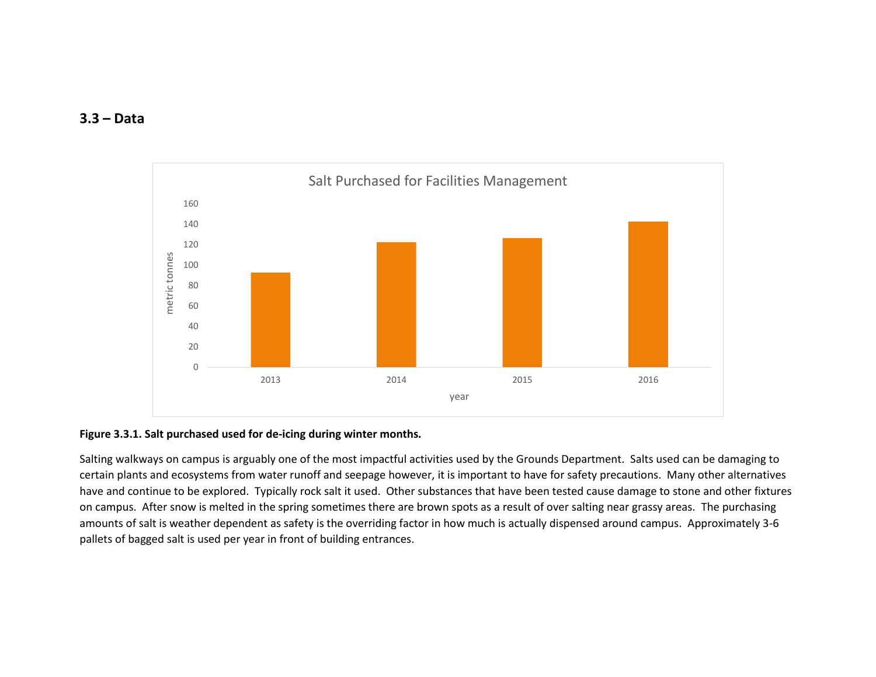## **3.3 – Data**



## **Figure 3.3.1. Salt purchased used for de-icing during winter months.**

Salting walkways on campus is arguably one of the most impactful activities used by the Grounds Department. Salts used can be damaging to certain plants and ecosystems from water runoff and seepage however, it is important to have for safety precautions. Many other alternatives have and continue to be explored. Typically rock salt it used. Other substances that have been tested cause damage to stone and other fixtures on campus. After snow is melted in the spring sometimes there are brown spots as a result of over salting near grassy areas. The purchasing amounts of salt is weather dependent as safety is the overriding factor in how much is actually dispensed around campus. Approximately 3-6 pallets of bagged salt is used per year in front of building entrances.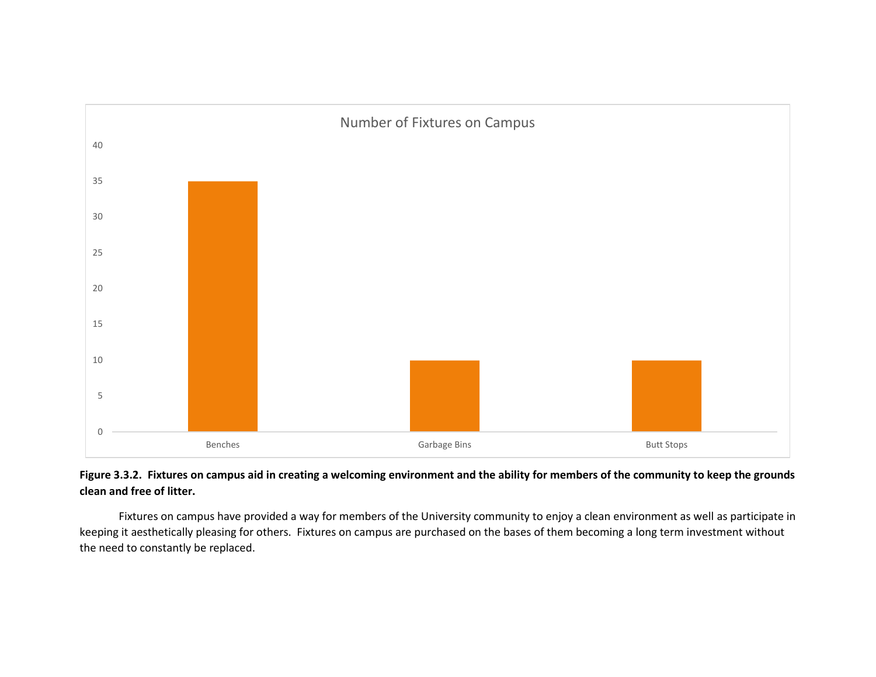

# **Figure 3.3.2. Fixtures on campus aid in creating a welcoming environment and the ability for members of the community to keep the grounds clean and free of litter.**

Fixtures on campus have provided a way for members of the University community to enjoy a clean environment as well as participate in keeping it aesthetically pleasing for others. Fixtures on campus are purchased on the bases of them becoming a long term investment without the need to constantly be replaced.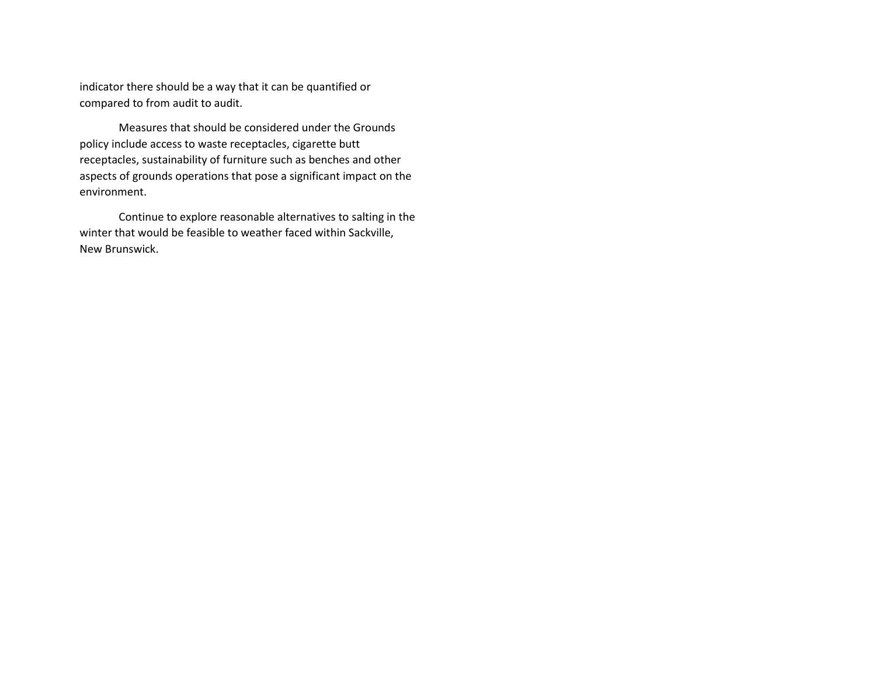indicator there should be a way that it can be quantified or compared to from audit to audit.

Measures that should be considered under the Grounds policy include access to waste receptacles, cigarette butt receptacles, sustainability of furniture such as benches and other aspects of grounds operations that pose a significant impact on the environment.

Continue to explore reasonable alternatives to salting in the winter that would be feasible to weather faced within Sackville, New Brunswick.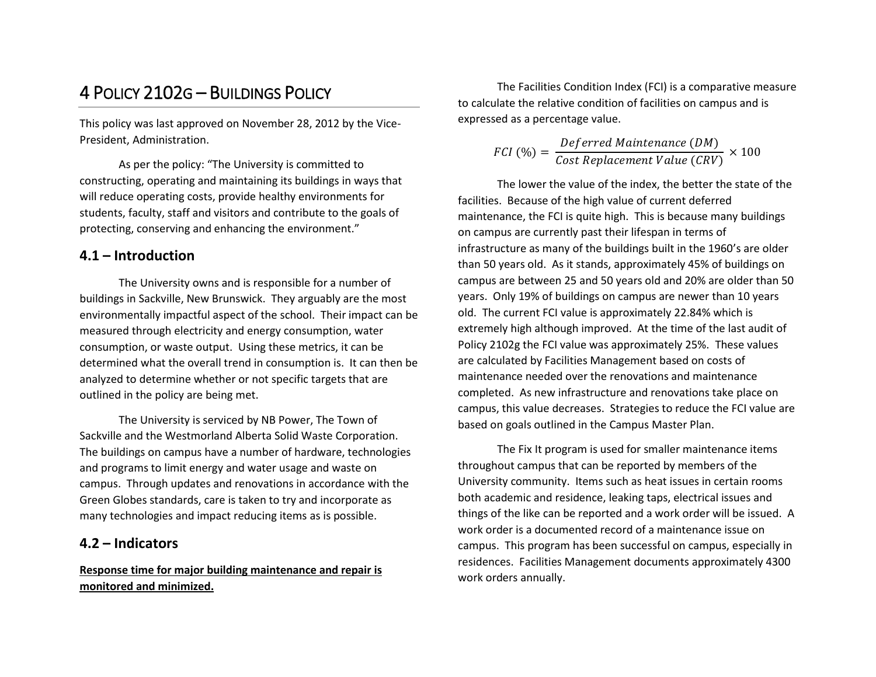# 4 POLICY 2102G – BUILDINGS POLICY

This policy was last approved on November 28, 2012 by the Vice-President, Administration.

As per the policy: "The University is committed to constructing, operating and maintaining its buildings in ways that will reduce operating costs, provide healthy environments for students, faculty, staff and visitors and contribute to the goals of protecting, conserving and enhancing the environment."

# **4.1 – Introduction**

The University owns and is responsible for a number of buildings in Sackville, New Brunswick. They arguably are the most environmentally impactful aspect of the school. Their impact can be measured through electricity and energy consumption, water consumption, or waste output. Using these metrics, it can be determined what the overall trend in consumption is. It can then be analyzed to determine whether or not specific targets that are outlined in the policy are being met.

The University is serviced by NB Power, The Town of Sackville and the Westmorland Alberta Solid Waste Corporation. The buildings on campus have a number of hardware, technologies and programs to limit energy and water usage and waste on campus. Through updates and renovations in accordance with the Green Globes standards, care is taken to try and incorporate as many technologies and impact reducing items as is possible.

# **4.2 – Indicators**

## **Response time for major building maintenance and repair is monitored and minimized.**

The Facilities Condition Index (FCI) is a comparative measure to calculate the relative condition of facilities on campus and is expressed as a percentage value.

$$
FCI \text{ } (\%) = \frac{Deferred \text{ Maintenance } (DM)}{Cost \text{ Replacement Value } (CRV)} \times 100
$$

The lower the value of the index, the better the state of the facilities. Because of the high value of current deferred maintenance, the FCI is quite high. This is because many buildings on campus are currently past their lifespan in terms of infrastructure as many of the buildings built in the 1960's are older than 50 years old. As it stands, approximately 45% of buildings on campus are between 25 and 50 years old and 20% are older than 50 years. Only 19% of buildings on campus are newer than 10 years old. The current FCI value is approximately 22.84% which is extremely high although improved. At the time of the last audit of Policy 2102g the FCI value was approximately 25%. These values are calculated by Facilities Management based on costs of maintenance needed over the renovations and maintenance completed. As new infrastructure and renovations take place on campus, this value decreases. Strategies to reduce the FCI value are based on goals outlined in the Campus Master Plan.

The Fix It program is used for smaller maintenance items throughout campus that can be reported by members of the University community. Items such as heat issues in certain rooms both academic and residence, leaking taps, electrical issues and things of the like can be reported and a work order will be issued. A work order is a documented record of a maintenance issue on campus. This program has been successful on campus, especially in residences. Facilities Management documents approximately 4300 work orders annually.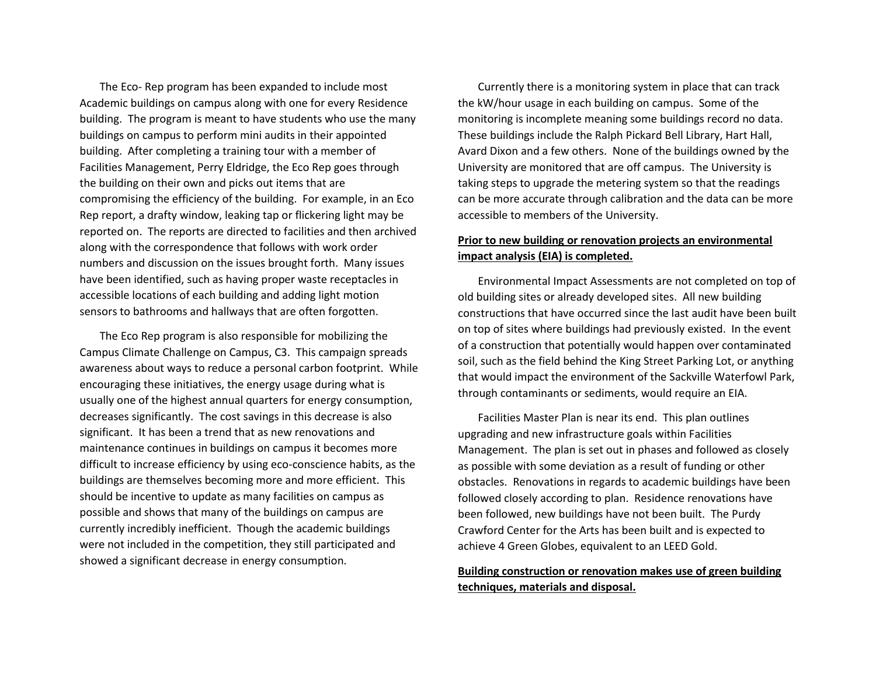The Eco- Rep program has been expanded to include most Academic buildings on campus along with one for every Residence building. The program is meant to have students who use the many buildings on campus to perform mini audits in their appointed building. After completing a training tour with a member of Facilities Management, Perry Eldridge, the Eco Rep goes through the building on their own and picks out items that are compromising the efficiency of the building. For example, in an Eco Rep report, a drafty window, leaking tap or flickering light may be reported on. The reports are directed to facilities and then archived along with the correspondence that follows with work order numbers and discussion on the issues brought forth. Many issues have been identified, such as having proper waste receptacles in accessible locations of each building and adding light motion sensors to bathrooms and hallways that are often forgotten.

The Eco Rep program is also responsible for mobilizing the Campus Climate Challenge on Campus, C3. This campaign spreads awareness about ways to reduce a personal carbon footprint. While encouraging these initiatives, the energy usage during what is usually one of the highest annual quarters for energy consumption, decreases significantly. The cost savings in this decrease is also significant. It has been a trend that as new renovations and maintenance continues in buildings on campus it becomes more difficult to increase efficiency by using eco-conscience habits, as the buildings are themselves becoming more and more efficient. This should be incentive to update as many facilities on campus as possible and shows that many of the buildings on campus are currently incredibly inefficient. Though the academic buildings were not included in the competition, they still participated and showed a significant decrease in energy consumption.

Currently there is a monitoring system in place that can track the kW/hour usage in each building on campus. Some of the monitoring is incomplete meaning some buildings record no data. These buildings include the Ralph Pickard Bell Library, Hart Hall, Avard Dixon and a few others. None of the buildings owned by the University are monitored that are off campus. The University is taking steps to upgrade the metering system so that the readings can be more accurate through calibration and the data can be more accessible to members of the University.

# **Prior to new building or renovation projects an environmental impact analysis (EIA) is completed.**

Environmental Impact Assessments are not completed on top of old building sites or already developed sites. All new building constructions that have occurred since the last audit have been built on top of sites where buildings had previously existed. In the event of a construction that potentially would happen over contaminated soil, such as the field behind the King Street Parking Lot, or anything that would impact the environment of the Sackville Waterfowl Park, through contaminants or sediments, would require an EIA.

Facilities Master Plan is near its end. This plan outlines upgrading and new infrastructure goals within Facilities Management. The plan is set out in phases and followed as closely as possible with some deviation as a result of funding or other obstacles. Renovations in regards to academic buildings have been followed closely according to plan. Residence renovations have been followed, new buildings have not been built. The Purdy Crawford Center for the Arts has been built and is expected to achieve 4 Green Globes, equivalent to an LEED Gold.

## **Building construction or renovation makes use of green building techniques, materials and disposal.**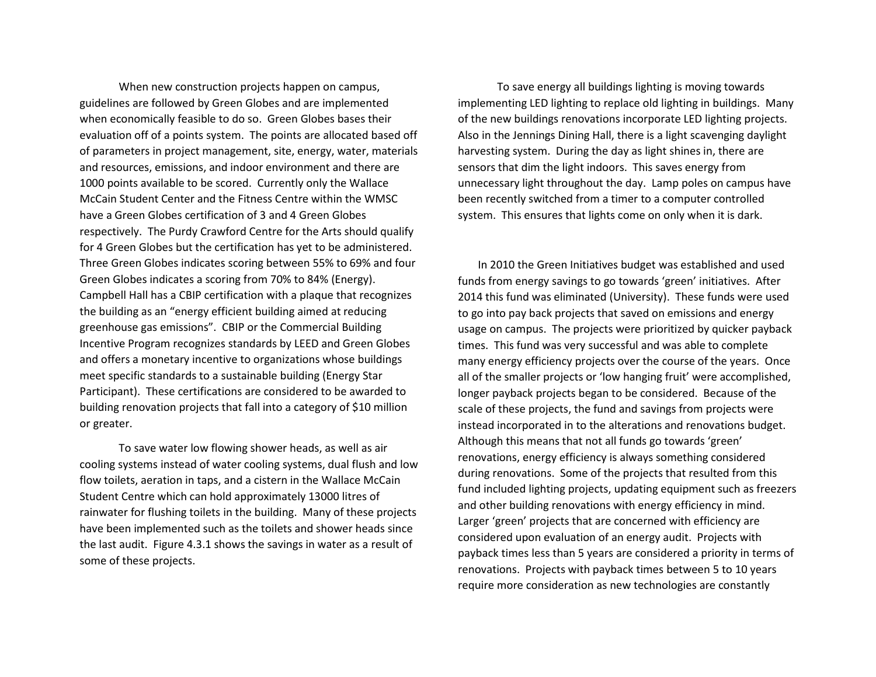When new construction projects happen on campus, guidelines are followed by Green Globes and are implemented when economically feasible to do so. Green Globes bases their evaluation off of a points system. The points are allocated based off of parameters in project management, site, energy, water, materials and resources, emissions, and indoor environment and there are 1000 points available to be scored. Currently only the Wallace McCain Student Center and the Fitness Centre within the WMSC have a Green Globes certification of 3 and 4 Green Globes respectively. The Purdy Crawford Centre for the Arts should qualify for 4 Green Globes but the certification has yet to be administered. Three Green Globes indicates scoring between 55% to 69% and four Green Globes indicates a scoring from 70% to 84% (Energy). Campbell Hall has a CBIP certification with a plaque that recognizes the building as an "energy efficient building aimed at reducing greenhouse gas emissions". CBIP or the Commercial Building Incentive Program recognizes standards by LEED and Green Globes and offers a monetary incentive to organizations whose buildings meet specific standards to a sustainable building (Energy Star Participant). These certifications are considered to be awarded to building renovation projects that fall into a category of \$10 million or greater.

To save water low flowing shower heads, as well as air cooling systems instead of water cooling systems, dual flush and low flow toilets, aeration in taps, and a cistern in the Wallace McCain Student Centre which can hold approximately 13000 litres of rainwater for flushing toilets in the building. Many of these projects have been implemented such as the toilets and shower heads since the last audit. Figure 4.3.1 shows the savings in water as a result of some of these projects.

To save energy all buildings lighting is moving towards implementing LED lighting to replace old lighting in buildings. Many of the new buildings renovations incorporate LED lighting projects. Also in the Jennings Dining Hall, there is a light scavenging daylight harvesting system. During the day as light shines in, there are sensors that dim the light indoors. This saves energy from unnecessary light throughout the day. Lamp poles on campus have been recently switched from a timer to a computer controlled system. This ensures that lights come on only when it is dark.

In 2010 the Green Initiatives budget was established and used funds from energy savings to go towards 'green' initiatives. After 2014 this fund was eliminated (University). These funds were used to go into pay back projects that saved on emissions and energy usage on campus. The projects were prioritized by quicker payback times. This fund was very successful and was able to complete many energy efficiency projects over the course of the years. Once all of the smaller projects or 'low hanging fruit' were accomplished, longer payback projects began to be considered. Because of the scale of these projects, the fund and savings from projects were instead incorporated in to the alterations and renovations budget. Although this means that not all funds go towards 'green' renovations, energy efficiency is always something considered during renovations. Some of the projects that resulted from this fund included lighting projects, updating equipment such as freezers and other building renovations with energy efficiency in mind. Larger 'green' projects that are concerned with efficiency are considered upon evaluation of an energy audit. Projects with payback times less than 5 years are considered a priority in terms of renovations. Projects with payback times between 5 to 10 years require more consideration as new technologies are constantly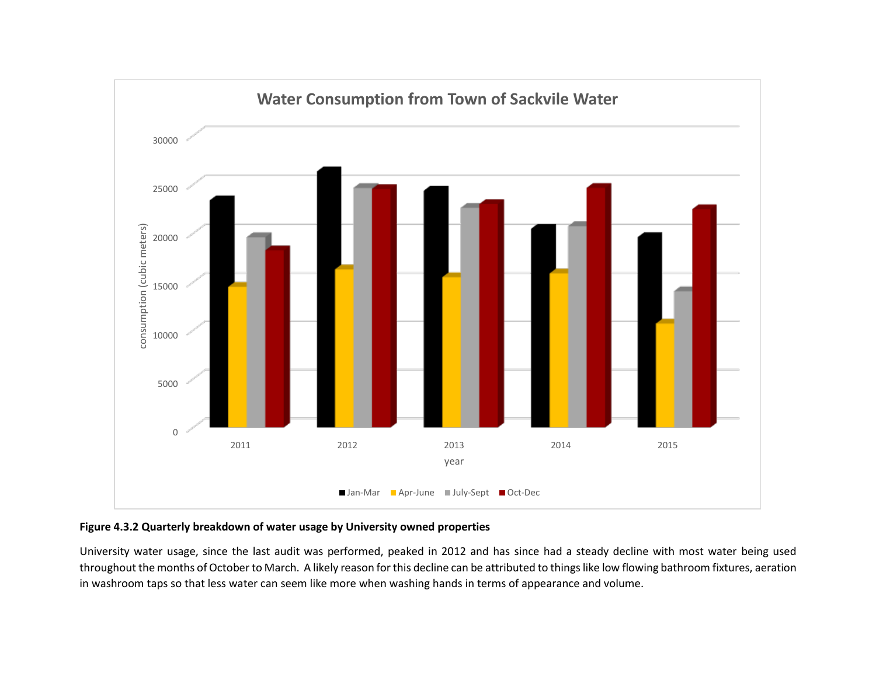

## **Figure 4.3.2 Quarterly breakdown of water usage by University owned properties**

University water usage, since the last audit was performed, peaked in 2012 and has since had a steady decline with most water being used throughout the months of October to March. A likely reason for this decline can be attributed to things like low flowing bathroom fixtures, aeration in washroom taps so that less water can seem like more when washing hands in terms of appearance and volume.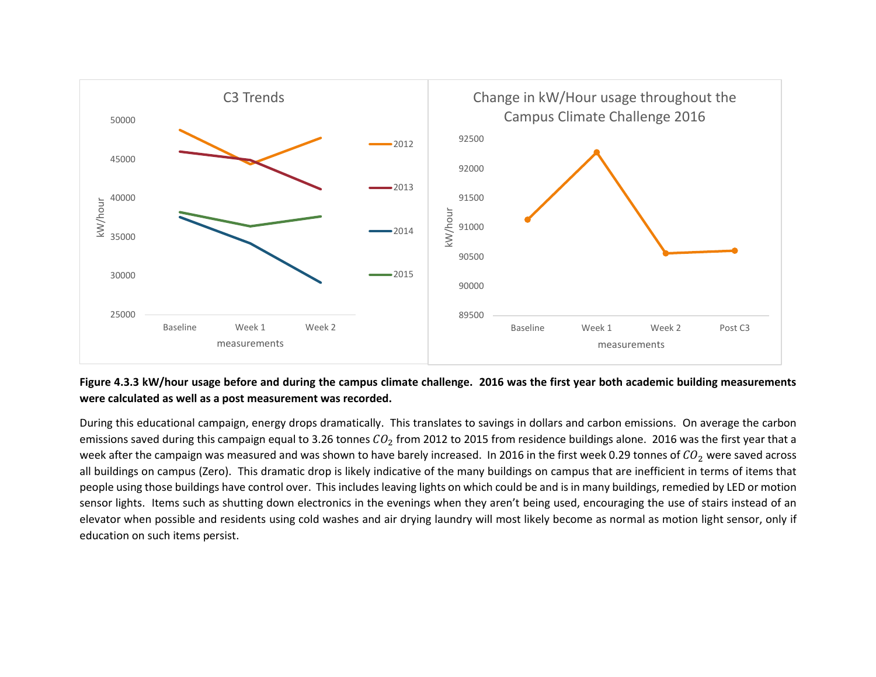

# **Figure 4.3.3 kW/hour usage before and during the campus climate challenge. 2016 was the first year both academic building measurements were calculated as well as a post measurement was recorded.**

During this educational campaign, energy drops dramatically. This translates to savings in dollars and carbon emissions. On average the carbon emissions saved during this campaign equal to 3.26 tonnes  $CO_2$  from 2012 to 2015 from residence buildings alone. 2016 was the first year that a week after the campaign was measured and was shown to have barely increased. In 2016 in the first week 0.29 tonnes of  $CO<sub>2</sub>$  were saved across all buildings on campus (Zero). This dramatic drop is likely indicative of the many buildings on campus that are inefficient in terms of items that people using those buildings have control over. This includes leaving lights on which could be and is in many buildings, remedied by LED or motion sensor lights. Items such as shutting down electronics in the evenings when they aren't being used, encouraging the use of stairs instead of an elevator when possible and residents using cold washes and air drying laundry will most likely become as normal as motion light sensor, only if education on such items persist.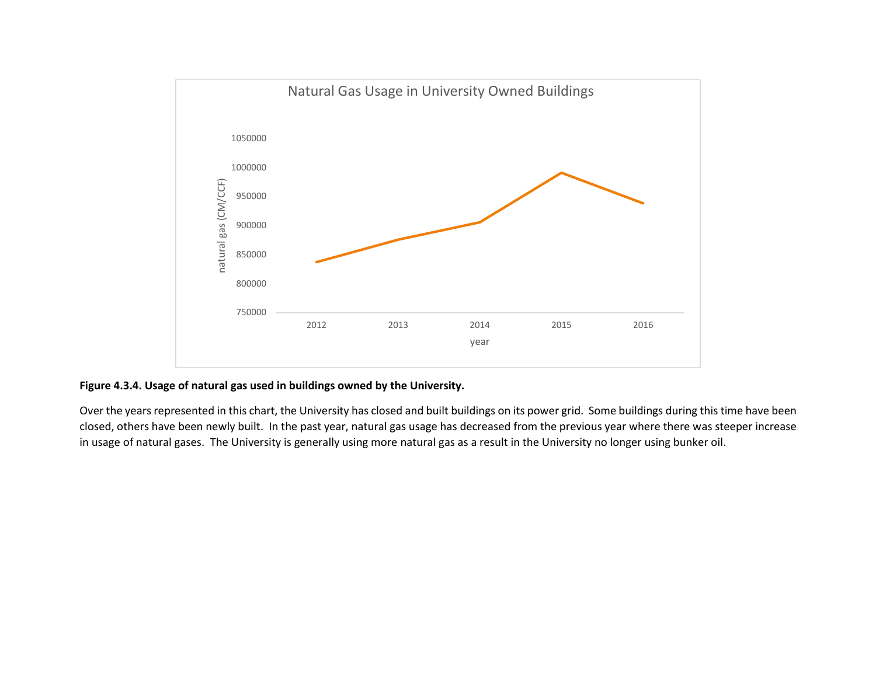

# **Figure 4.3.4. Usage of natural gas used in buildings owned by the University.**

Over the years represented in this chart, the University has closed and built buildings on its power grid. Some buildings during this time have been closed, others have been newly built. In the past year, natural gas usage has decreased from the previous year where there was steeper increase in usage of natural gases. The University is generally using more natural gas as a result in the University no longer using bunker oil.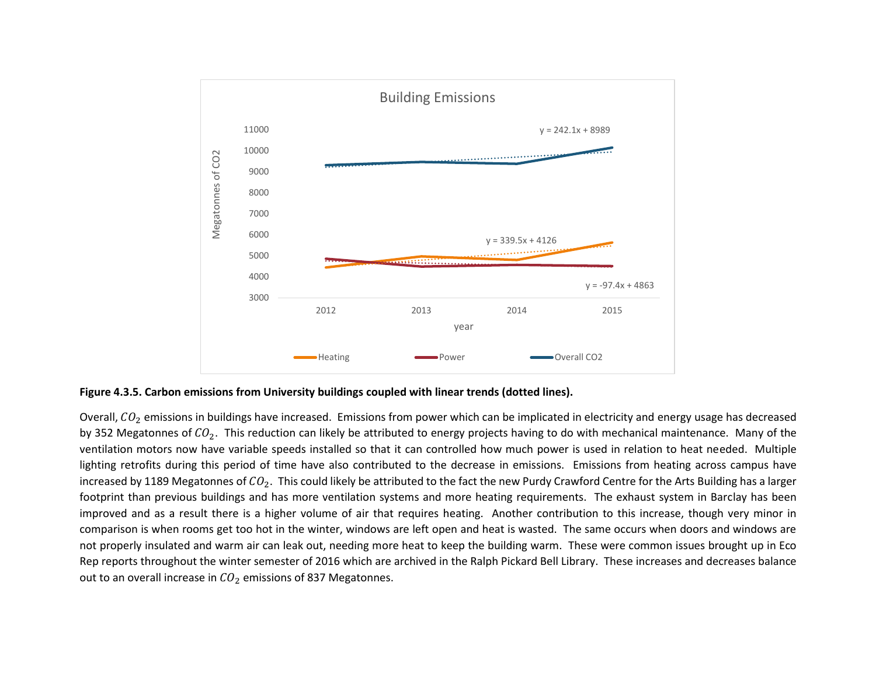

**Figure 4.3.5. Carbon emissions from University buildings coupled with linear trends (dotted lines).**

Overall,  $CO<sub>2</sub>$  emissions in buildings have increased. Emissions from power which can be implicated in electricity and energy usage has decreased by 352 Megatonnes of  $CO<sub>2</sub>$ . This reduction can likely be attributed to energy projects having to do with mechanical maintenance. Many of the ventilation motors now have variable speeds installed so that it can controlled how much power is used in relation to heat needed. Multiple lighting retrofits during this period of time have also contributed to the decrease in emissions. Emissions from heating across campus have increased by 1189 Megatonnes of  $CO<sub>2</sub>$ . This could likely be attributed to the fact the new Purdy Crawford Centre for the Arts Building has a larger footprint than previous buildings and has more ventilation systems and more heating requirements. The exhaust system in Barclay has been improved and as a result there is a higher volume of air that requires heating. Another contribution to this increase, though very minor in comparison is when rooms get too hot in the winter, windows are left open and heat is wasted. The same occurs when doors and windows are not properly insulated and warm air can leak out, needing more heat to keep the building warm. These were common issues brought up in Eco Rep reports throughout the winter semester of 2016 which are archived in the Ralph Pickard Bell Library. These increases and decreases balance out to an overall increase in  $CO<sub>2</sub>$  emissions of 837 Megatonnes.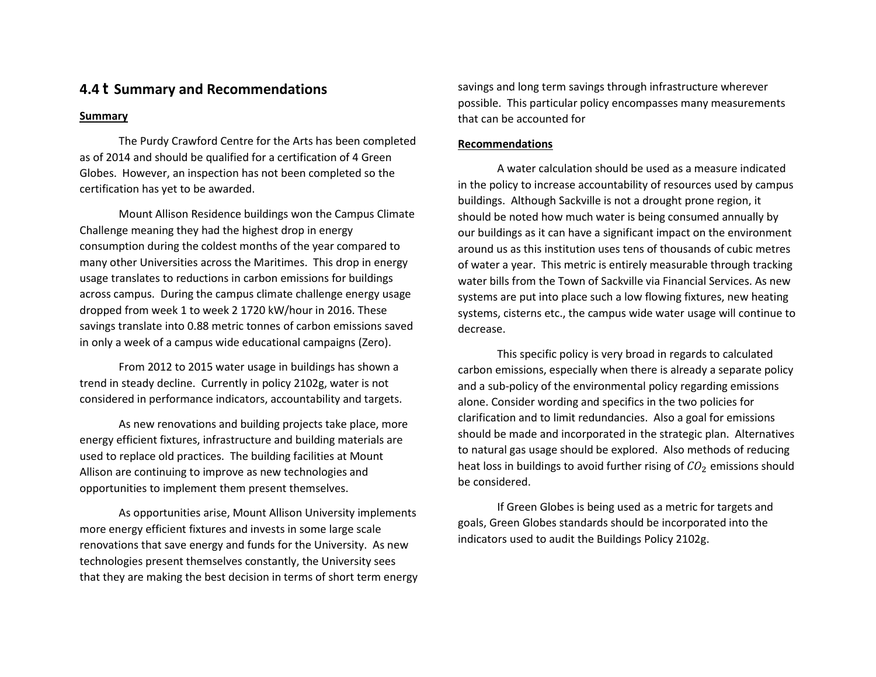# **4.4 Summary and Recommendations**

### **Summary**

The Purdy Crawford Centre for the Arts has been completed as of 2014 and should be qualified for a certification of 4 Green Globes. However, an inspection has not been completed so the certification has yet to be awarded.

Mount Allison Residence buildings won the Campus Climate Challenge meaning they had the highest drop in energy consumption during the coldest months of the year compared to many other Universities across the Maritimes. This drop in energy usage translates to reductions in carbon emissions for buildings across campus. During the campus climate challenge energy usage dropped from week 1 to week 2 1720 kW/hour in 2016. These savings translate into 0.88 metric tonnes of carbon emissions saved in only a week of a campus wide educational campaigns (Zero).

From 2012 to 2015 water usage in buildings has shown a trend in steady decline. Currently in policy 2102g, water is not considered in performance indicators, accountability and targets.

As new renovations and building projects take place, more energy efficient fixtures, infrastructure and building materials are used to replace old practices. The building facilities at Mount Allison are continuing to improve as new technologies and opportunities to implement them present themselves.

As opportunities arise, Mount Allison University implements more energy efficient fixtures and invests in some large scale renovations that save energy and funds for the University. As new technologies present themselves constantly, the University sees that they are making the best decision in terms of short term energy savings and long term savings through infrastructure wherever possible. This particular policy encompasses many measurements that can be accounted for

### **Recommendations**

A water calculation should be used as a measure indicated in the policy to increase accountability of resources used by campus buildings. Although Sackville is not a drought prone region, it should be noted how much water is being consumed annually by our buildings as it can have a significant impact on the environment around us as this institution uses tens of thousands of cubic metres of water a year. This metric is entirely measurable through tracking water bills from the Town of Sackville via Financial Services. As new systems are put into place such a low flowing fixtures, new heating systems, cisterns etc., the campus wide water usage will continue to decrease.

This specific policy is very broad in regards to calculated carbon emissions, especially when there is already a separate policy and a sub-policy of the environmental policy regarding emissions alone. Consider wording and specifics in the two policies for clarification and to limit redundancies. Also a goal for emissions should be made and incorporated in the strategic plan. Alternatives to natural gas usage should be explored. Also methods of reducing heat loss in buildings to avoid further rising of  $\rightarrow$  emissions should be considered.

If Green Globes is being used as a metric for targets and goals, Green Globes standards should be incorporated into the indicators used to audit the Buildings Policy 2102g.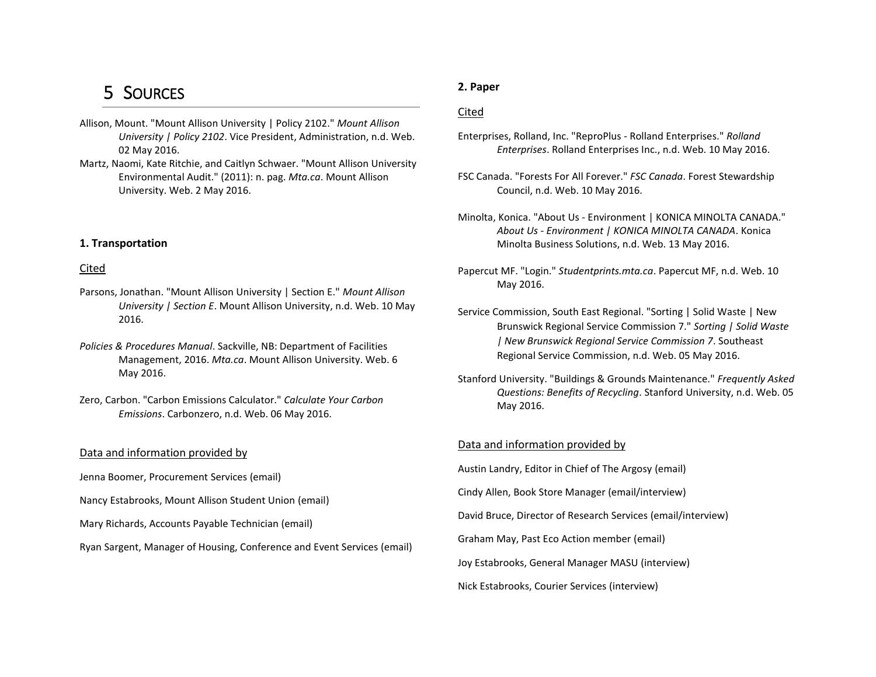# 5 SOURCES

- Allison, Mount. "Mount Allison University | Policy 2102." *Mount Allison University | Policy 2102*. Vice President, Administration, n.d. Web. 02 May 2016.
- Martz, Naomi, Kate Ritchie, and Caitlyn Schwaer. "Mount Allison University Environmental Audit." (2011): n. pag. *Mta.ca*. Mount Allison University. Web. 2 May 2016.

### **1. Transportation**

### Cited

- Parsons, Jonathan. "Mount Allison University | Section E." *Mount Allison University | Section E*. Mount Allison University, n.d. Web. 10 May 2016.
- *Policies & Procedures Manual*. Sackville, NB: Department of Facilities Management, 2016. *Mta.ca*. Mount Allison University. Web. 6 May 2016.
- Zero, Carbon. "Carbon Emissions Calculator." *Calculate Your Carbon Emissions*. Carbonzero, n.d. Web. 06 May 2016.

### Data and information provided by

- Jenna Boomer, Procurement Services (email)
- Nancy Estabrooks, Mount Allison Student Union (email)
- Mary Richards, Accounts Payable Technician (email)
- Ryan Sargent, Manager of Housing, Conference and Event Services (email)

### **2. Paper**

#### Cited

- Enterprises, Rolland, Inc. "ReproPlus Rolland Enterprises." *Rolland Enterprises*. Rolland Enterprises Inc., n.d. Web. 10 May 2016.
- FSC Canada. "Forests For All Forever." *FSC Canada*. Forest Stewardship Council, n.d. Web. 10 May 2016.
- Minolta, Konica. "About Us Environment | KONICA MINOLTA CANADA." *About Us - Environment | KONICA MINOLTA CANADA*. Konica Minolta Business Solutions, n.d. Web. 13 May 2016.
- Papercut MF. "Login." *Studentprints.mta.ca*. Papercut MF, n.d. Web. 10 May 2016.
- Service Commission, South East Regional. "Sorting | Solid Waste | New Brunswick Regional Service Commission 7." *Sorting | Solid Waste | New Brunswick Regional Service Commission 7*. Southeast Regional Service Commission, n.d. Web. 05 May 2016.
- Stanford University. "Buildings & Grounds Maintenance." *Frequently Asked Questions: Benefits of Recycling*. Stanford University, n.d. Web. 05 May 2016.

#### Data and information provided by

Austin Landry, Editor in Chief of The Argosy (email)

Cindy Allen, Book Store Manager (email/interview)

David Bruce, Director of Research Services (email/interview)

Graham May, Past Eco Action member (email)

Joy Estabrooks, General Manager MASU (interview)

Nick Estabrooks, Courier Services (interview)